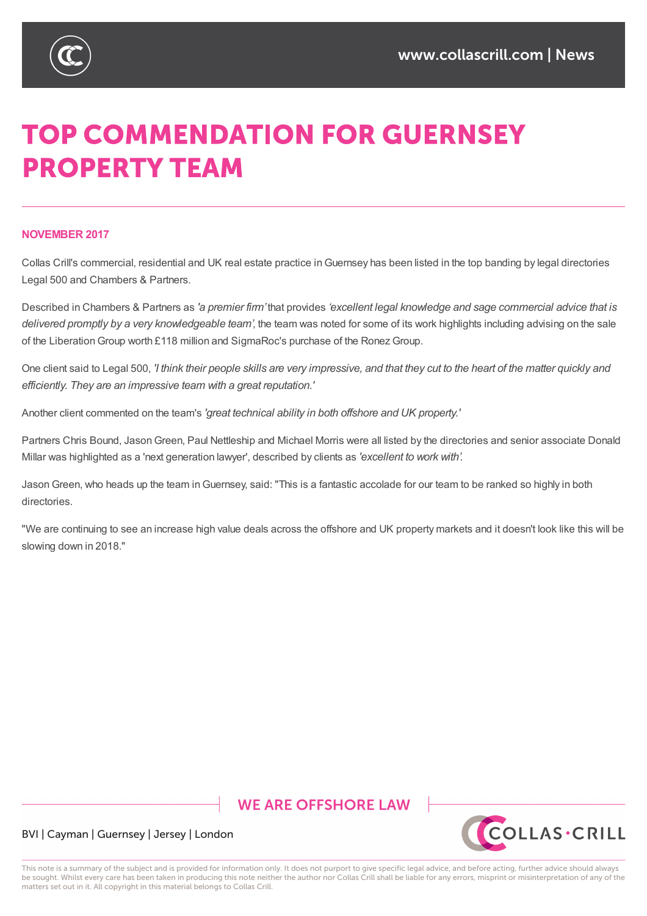

# **TOP COMMENDATION FOR GUERNSEY PROPERTY TEAM**

### **NOVEMBER 2017**

Collas Crill's commercial, residential and UK real estate practice inGuernsey has been listed in the top banding by legal directories Legal 500 and Chambers & Partners.

Described in Chambers & Partners as *'a premier firm'* that provides *'excellent legal knowledge and sage commercial advice that is delivered promptly by a very knowledgeable team'*, the team was noted for some of its work highlights including advising on the sale of the Liberation Group worth £118 million and SigmaRoc's purchase of the Ronez Group.

One client said to Legal 500, 'I think their people skills are very impressive, and that they cut to the heart of the matter quickly and *efficiently. They are an impressive team with a great reputation.'*

Another client commented on the team's *'great technical ability in both offshore and UK property.'*

Partners Chris Bound, Jason Green, Paul Nettleship and Michael Morris were all listed by the directories and senior associate Donald Millar was highlighted as a 'next generation lawyer', described by clients as *'excellent to work with'.*

JasonGreen, who heads up the team inGuernsey, said: "This is a fantastic accolade for our team to be ranked so highly in both directories.

"We are continuing to see an increase high value deals across the offshore and UK property markets and it doesn't look like this will be slowing down in 2018."

## **WE ARE OFFSHORE LAW**



#### BVI | Cayman | Guernsey | Jersey | London

This note is a summary of the subject and is provided for information only. It does not purport to give specific legal advice, and before acting, further advice should always be sought. Whilst every care has been taken in producing this note neither the author nor Collas Crill shall be liable for any errors, misprint or misinterpretation of any of the matters set out in it. All copyright in this material belongs to Collas Crill.